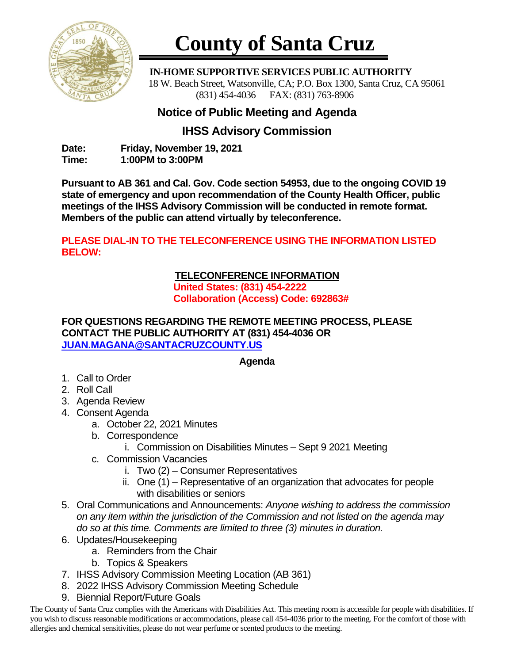

# **County of Santa Cruz**

 **IN-HOME SUPPORTIVE SERVICES PUBLIC AUTHORITY** 18 W. Beach Street, Watsonville, CA; P.O. Box 1300, Santa Cruz, CA 95061 (831) 454-4036 FAX: (831) 763-8906

## **Notice of Public Meeting and Agenda**

## **IHSS Advisory Commission**

**Date: Friday, November 19, 2021 Time: 1:00PM to 3:00PM**

**Pursuant to AB 361 and Cal. Gov. Code section 54953, due to the ongoing COVID 19 state of emergency and upon recommendation of the County Health Officer, public meetings of the IHSS Advisory Commission will be conducted in remote format. Members of the public can attend virtually by teleconference.**

### **PLEASE DIAL-IN TO THE TELECONFERENCE USING THE INFORMATION LISTED BELOW:**

#### **TELECONFERENCE INFORMATION United States: (831) 454-2222 Collaboration (Access) Code: 692863#**

#### **FOR QUESTIONS REGARDING THE REMOTE MEETING PROCESS, PLEASE CONTACT THE PUBLIC AUTHORITY AT (831) 454-4036 OR [JUAN.MAGANA@SANTACRUZCOUNTY.US](mailto:JUAN.MAGANA@SANTACRUZCOUNTY.US)**

#### **Agenda**

- 1. Call to Order
- 2. Roll Call
- 3. Agenda Review
- 4. Consent Agenda
	- a. October 22*,* 2021 Minutes
	- b. Correspondence
		- i. Commission on Disabilities Minutes Sept 9 2021 Meeting
	- c. Commission Vacancies
		- i. Two (2) Consumer Representatives
		- ii. One (1) Representative of an organization that advocates for people with disabilities or seniors
- 5. Oral Communications and Announcements: *Anyone wishing to address the commission on any item within the jurisdiction of the Commission and not listed on the agenda may do so at this time. Comments are limited to three (3) minutes in duration.*
- 6. Updates/Housekeeping
	- a. Reminders from the Chair
	- b. Topics & Speakers
- 7. IHSS Advisory Commission Meeting Location (AB 361)
- 8. 2022 IHSS Advisory Commission Meeting Schedule
- 9. Biennial Report/Future Goals

The County of Santa Cruz complies with the Americans with Disabilities Act. This meeting room is accessible for people with disabilities. If you wish to discuss reasonable modifications or accommodations, please call 454-4036 prior to the meeting. For the comfort of those with allergies and chemical sensitivities, please do not wear perfume or scented products to the meeting.